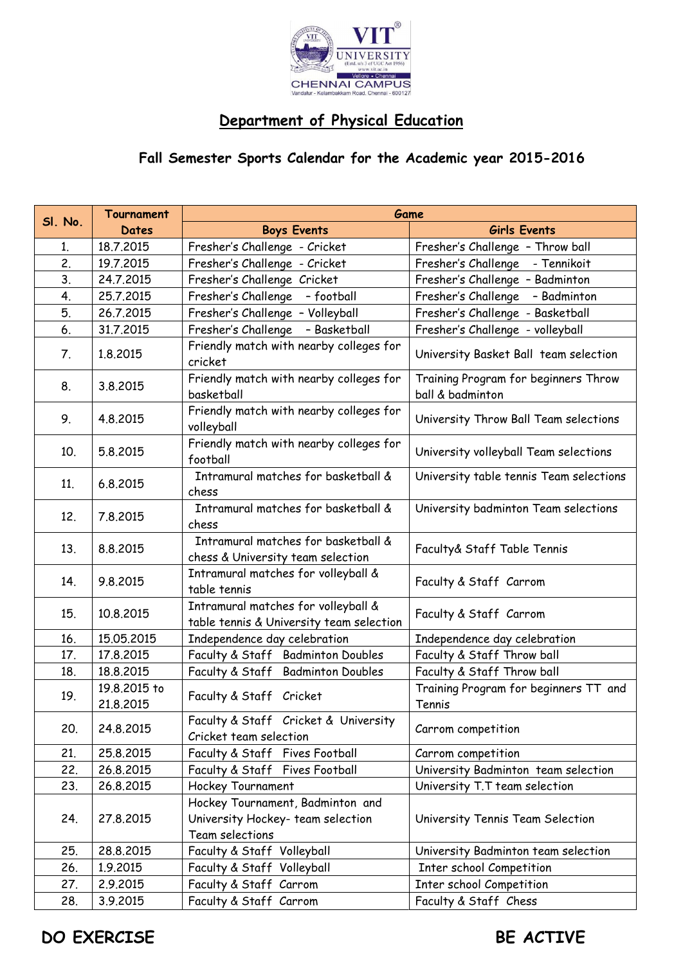

## **Department of Physical Education**

## **Fall Semester Sports Calendar for the Academic year 2015-2016**

| SI. No.         | <b>Tournament</b>         | Game                                                                                     |                                                          |
|-----------------|---------------------------|------------------------------------------------------------------------------------------|----------------------------------------------------------|
|                 | Dates                     | <b>Boys Events</b>                                                                       | <b>Girls Events</b>                                      |
| 1.              | 18.7.2015                 | Fresher's Challenge - Cricket                                                            | Fresher's Challenge - Throw ball                         |
| 2.              | 19.7.2015                 | Fresher's Challenge - Cricket                                                            | Fresher's Challenge - Tennikoit                          |
| 3.              | 24.7.2015                 | Fresher's Challenge Cricket                                                              | Fresher's Challenge - Badminton                          |
| 4.              | 25.7.2015                 | Fresher's Challenge - football                                                           | Fresher's Challenge - Badminton                          |
| 5.              | 26.7.2015                 | Fresher's Challenge - Volleyball                                                         | Fresher's Challenge - Basketball                         |
| 6.              | 31.7.2015                 | Fresher's Challenge - Basketball                                                         | Fresher's Challenge - volleyball                         |
| 7.              | 1.8.2015                  | Friendly match with nearby colleges for<br>cricket                                       | University Basket Ball team selection                    |
| 8.              | 3.8.2015                  | Friendly match with nearby colleges for<br>basketball                                    | Training Program for beginners Throw<br>ball & badminton |
| 9.              | 4.8.2015                  | Friendly match with nearby colleges for<br>volleyball                                    | University Throw Ball Team selections                    |
| 10 <sub>1</sub> | 5.8.2015                  | Friendly match with nearby colleges for<br>football                                      | University volleyball Team selections                    |
| 11.             | 6.8.2015                  | Intramural matches for basketball &<br>chess                                             | University table tennis Team selections                  |
| 12.             | 7.8.2015                  | Intramural matches for basketball &<br>chess                                             | University badminton Team selections                     |
| 13.             | 8.8.2015                  | Intramural matches for basketball &<br>chess & University team selection                 | Faculty& Staff Table Tennis                              |
| 14.             | 9.8.2015                  | Intramural matches for volleyball &<br>table tennis                                      | Faculty & Staff Carrom                                   |
| 15.             | 10.8.2015                 | Intramural matches for volleyball &<br>table tennis & University team selection          | Faculty & Staff Carrom                                   |
| 16.             | 15.05.2015                | Independence day celebration                                                             | Independence day celebration                             |
| 17.             | 17,8,2015                 | Faculty & Staff Badminton Doubles                                                        | Faculty & Staff Throw ball                               |
| 18.             | 18.8.2015                 | Faculty & Staff Badminton Doubles                                                        | Faculty & Staff Throw ball                               |
| 19.             | 19.8.2015 to<br>21.8.2015 | Faculty & Staff Cricket                                                                  | Training Program for beginners TT and<br>Tennis          |
| 20.             | 24.8.2015                 | Faculty & Staff Cricket & University<br>Cricket team selection                           | Carrom competition                                       |
| 21.             | 25.8.2015                 | Faculty & Staff Fives Football                                                           | Carrom competition                                       |
| 22.             | 26.8.2015                 | Faculty & Staff Fives Football                                                           | University Badminton team selection                      |
| 23.             | 26.8.2015                 | Hockey Tournament                                                                        | University T.T team selection                            |
| 24.             | 27.8.2015                 | Hockey Tournament, Badminton and<br>University Hockey- team selection<br>Team selections | University Tennis Team Selection                         |
| 25.             | 28.8.2015                 | Faculty & Staff Volleyball                                                               | University Badminton team selection                      |
| 26.             | 1.9.2015                  | Faculty & Staff Volleyball                                                               | Inter school Competition                                 |
| 27.             | 2.9.2015                  | Faculty & Staff Carrom                                                                   | Inter school Competition                                 |
| 28.             | 3.9.2015                  | Faculty & Staff Carrom                                                                   | Faculty & Staff Chess                                    |